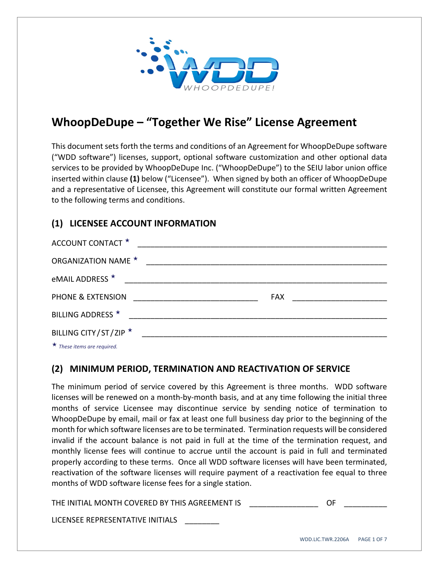

# **WhoopDeDupe – "Together We Rise" License Agreement**

This document sets forth the terms and conditions of an Agreement for WhoopDeDupe software ("WDD software") licenses, support, optional software customization and other optional data services to be provided by WhoopDeDupe Inc. ("WhoopDeDupe") to the SEIU labor union office inserted within clause **(1)** below ("Licensee"). When signed by both an officer of WhoopDeDupe and a representative of Licensee, this Agreement will constitute our formal written Agreement to the following terms and conditions.

## **(1) LICENSEE ACCOUNT INFORMATION**

| ACCOUNT CONTACT *                                                                                                                                                                                                                    |                                                                                                                      |                                |
|--------------------------------------------------------------------------------------------------------------------------------------------------------------------------------------------------------------------------------------|----------------------------------------------------------------------------------------------------------------------|--------------------------------|
| <b>ORGANIZATION NAME ★</b>                                                                                                                                                                                                           | <u> 2000 - 2000 - 2000 - 2000 - 2000 - 2000 - 2000 - 2000 - 2000 - 2000 - 2000 - 2000 - 2000 - 2000 - 2000 - 200</u> |                                |
| eMAIL ADDRESS ★                                                                                                                                                                                                                      |                                                                                                                      |                                |
| PHONE & EXTENSION                                                                                                                                                                                                                    |                                                                                                                      | FAX __________________________ |
| BILLING ADDRESS *                                                                                                                                                                                                                    |                                                                                                                      |                                |
| BILLING CITY/ST/ZIP ★                                                                                                                                                                                                                |                                                                                                                      |                                |
| $\mathbf{r}$ and $\mathbf{r}$ are all the set of the set of the set of the set of the set of the set of the set of the set of the set of the set of the set of the set of the set of the set of the set of the set of the set of the |                                                                                                                      |                                |

*These items are required.*

#### **(2) MINIMUM PERIOD, TERMINATION AND REACTIVATION OF SERVICE**

The minimum period of service covered by this Agreement is three months. WDD software licenses will be renewed on a month‐by‐month basis, and at any time following the initial three months of service Licensee may discontinue service by sending notice of termination to WhoopDeDupe by email, mail or fax at least one full business day prior to the beginning of the month for which software licenses are to be terminated. Termination requests will be considered invalid if the account balance is not paid in full at the time of the termination request, and monthly license fees will continue to accrue until the account is paid in full and terminated properly according to these terms. Once all WDD software licenses will have been terminated, reactivation of the software licenses will require payment of a reactivation fee equal to three months of WDD software license fees for a single station.

THE INITIAL MONTH COVERED BY THIS AGREEMENT IS **THE SAME IN** 

LICENSEE REPRESENTATIVE INITIALS \_\_\_\_\_\_\_\_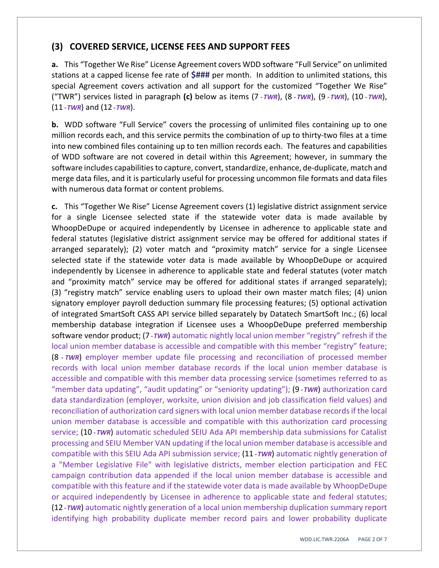#### **(3) COVERED SERVICE, LICENSE FEES AND SUPPORT FEES**

**a.** This "Together We Rise" License Agreement covers WDD software "Full Service" on unlimited stations at a capped license fee rate of **\$###** per month. In addition to unlimited stations, this special Agreement covers activation and all support for the customized "Together We Rise" ("TWR") services listed in paragraph **(c)** below as items (7 *‐ TWR*), (8 *‐ TWR*), (9 *‐ TWR*), (10 *‐ TWR*), (11 *‐TWR*) and (12 *‐TWR*).

**b.** WDD software "Full Service" covers the processing of unlimited files containing up to one million records each, and this service permits the combination of up to thirty-two files at a time into new combined files containing up to ten million records each. The features and capabilities of WDD software are not covered in detail within this Agreement; however, in summary the software includes capabilities to capture, convert, standardize, enhance, de-duplicate, match and merge data files, and it is particularly useful for processing uncommon file formats and data files with numerous data format or content problems.

**c.** This "Together We Rise" License Agreement covers (1) legislative district assignment service for a single Licensee selected state if the statewide voter data is made available by WhoopDeDupe or acquired independently by Licensee in adherence to applicable state and federal statutes (legislative district assignment service may be offered for additional states if arranged separately); (2) voter match and "proximity match" service for a single Licensee selected state if the statewide voter data is made available by WhoopDeDupe or acquired independently by Licensee in adherence to applicable state and federal statutes (voter match and "proximity match" service may be offered for additional states if arranged separately); (3) "registry match" service enabling users to upload their own master match files; (4) union signatory employer payroll deduction summary file processing features; (5) optional activation of integrated SmartSoft CASS API service billed separately by Datatech SmartSoft Inc.; (6) local membership database integration if Licensee uses a WhoopDeDupe preferred membership software vendor product; (7 *‐TWR*) automatic nightly local union member "registry" refresh if the local union member database is accessible and compatible with this member "registry" feature; (8 *‐ TWR*) employer member update file processing and reconciliation of processed member records with local union member database records if the local union member database is accessible and compatible with this member data processing service (sometimes referred to as "member data updating", "audit updating" or "seniority updating"); (9 *‐TWR*) authorization card data standardization (employer, worksite, union division and job classification field values) and reconciliation of authorization card signers with local union member database recordsif the local union member database is accessible and compatible with this authorization card processing service; (10 *‐TWR*) automatic scheduled SEIU Ada API membership data submissions for Catalist processing and SEIU Member VAN updating if the local union member database is accessible and compatible with this SEIU Ada API submission service; (11 *‐TWR*) automatic nightly generation of a "Member Legislative File" with legislative districts, member election participation and FEC campaign contribution data appended if the local union member database is accessible and compatible with this feature and if the statewide voter data is made available by WhoopDeDupe or acquired independently by Licensee in adherence to applicable state and federal statutes; (12 *‐TWR*) automatic nightly generation of a local union membership duplication summary report identifying high probability duplicate member record pairs and lower probability duplicate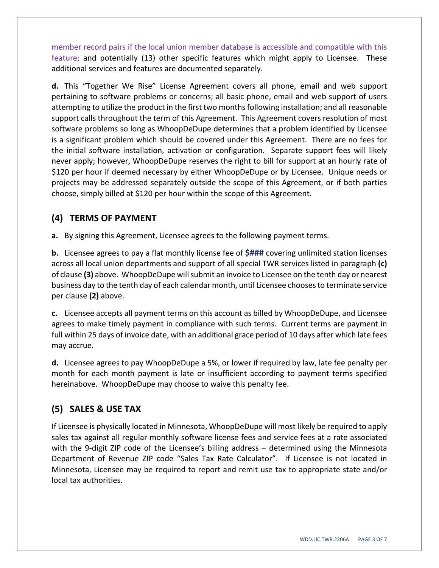member record pairs if the local union member database is accessible and compatible with this feature; and potentially (13) other specific features which might apply to Licensee. These additional services and features are documented separately.

**d.** This "Together We Rise" License Agreement covers all phone, email and web support pertaining to software problems or concerns; all basic phone, email and web support of users attempting to utilize the product in the first two monthsfollowing installation; and all reasonable support calls throughout the term of this Agreement. This Agreement covers resolution of most software problems so long as WhoopDeDupe determines that a problem identified by Licensee is a significant problem which should be covered under this Agreement. There are no fees for the initial software installation, activation or configuration. Separate support fees will likely never apply; however, WhoopDeDupe reserves the right to bill for support at an hourly rate of \$120 per hour if deemed necessary by either WhoopDeDupe or by Licensee. Unique needs or projects may be addressed separately outside the scope of this Agreement, or if both parties choose, simply billed at \$120 per hour within the scope of this Agreement.

## **(4) TERMS OF PAYMENT**

**a.** By signing this Agreement, Licensee agrees to the following payment terms.

**b.** Licensee agrees to pay a flat monthly license fee of **\$###** covering unlimited station licenses across all local union departments and support of all special TWR services listed in paragraph **(c)** of clause **(3)** above. WhoopDeDupe willsubmit an invoice to Licensee on the tenth day or nearest business day to the tenth day of each calendar month, until Licensee choosesto terminate service per clause **(2)** above.

**c.** Licensee accepts all payment terms on this account as billed by WhoopDeDupe, and Licensee agrees to make timely payment in compliance with such terms. Current terms are payment in full within 25 days of invoice date, with an additional grace period of 10 days after which late fees may accrue.

**d.** Licensee agrees to pay WhoopDeDupe a 5%, or lower if required by law, late fee penalty per month for each month payment is late or insufficient according to payment terms specified hereinabove. WhoopDeDupe may choose to waive this penalty fee.

## **(5) SALES & USE TAX**

If Licensee is physically located in Minnesota, WhoopDeDupe will most likely be required to apply sales tax against all regular monthly software license fees and service fees at a rate associated with the 9-digit ZIP code of the Licensee's billing address – determined using the Minnesota Department of Revenue ZIP code "Sales Tax Rate Calculator". If Licensee is not located in Minnesota, Licensee may be required to report and remit use tax to appropriate state and/or local tax authorities.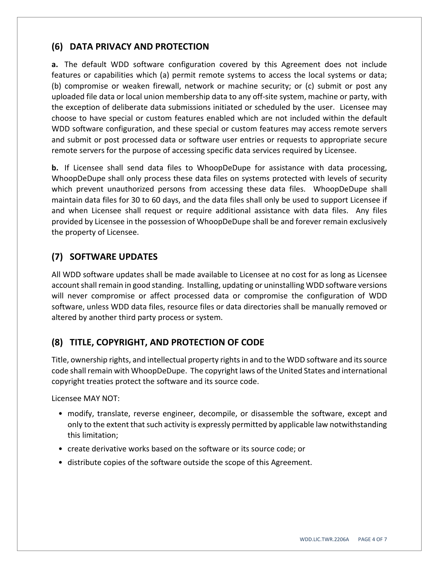#### **(6) DATA PRIVACY AND PROTECTION**

**a.** The default WDD software configuration covered by this Agreement does not include features or capabilities which (a) permit remote systems to access the local systems or data; (b) compromise or weaken firewall, network or machine security; or (c) submit or post any uploaded file data or local union membership data to any off‐site system, machine or party, with the exception of deliberate data submissions initiated or scheduled by the user. Licensee may choose to have special or custom features enabled which are not included within the default WDD software configuration, and these special or custom features may access remote servers and submit or post processed data or software user entries or requests to appropriate secure remote servers for the purpose of accessing specific data services required by Licensee.

**b.** If Licensee shall send data files to WhoopDeDupe for assistance with data processing, WhoopDeDupe shall only process these data files on systems protected with levels of security which prevent unauthorized persons from accessing these data files. WhoopDeDupe shall maintain data files for 30 to 60 days, and the data files shall only be used to support Licensee if and when Licensee shall request or require additional assistance with data files. Any files provided by Licensee in the possession of WhoopDeDupe shall be and forever remain exclusively the property of Licensee.

## **(7) SOFTWARE UPDATES**

All WDD software updates shall be made available to Licensee at no cost for as long as Licensee account shall remain in good standing. Installing, updating or uninstalling WDD software versions will never compromise or affect processed data or compromise the configuration of WDD software, unless WDD data files, resource files or data directories shall be manually removed or altered by another third party process or system.

## **(8) TITLE, COPYRIGHT, AND PROTECTION OF CODE**

Title, ownership rights, and intellectual property rightsin and to the WDD software and itssource code shall remain with WhoopDeDupe. The copyright laws of the United States and international copyright treaties protect the software and its source code.

Licensee MAY NOT:

- modify, translate, reverse engineer, decompile, or disassemble the software, except and only to the extent that such activity is expressly permitted by applicable law notwithstanding this limitation;
- create derivative works based on the software or its source code; or
- distribute copies of the software outside the scope of this Agreement.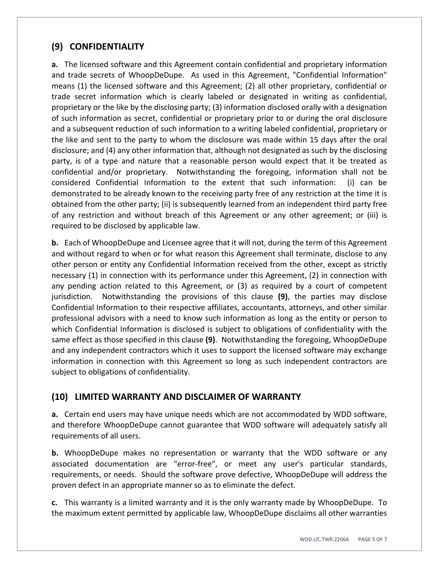#### **(9) CONFIDENTIALITY**

**a.** The licensed software and this Agreement contain confidential and proprietary information and trade secrets of WhoopDeDupe. As used in this Agreement, "Confidential Information" means (1) the licensed software and this Agreement; (2) all other proprietary, confidential or trade secret information which is clearly labeled or designated in writing as confidential, proprietary or the like by the disclosing party; (3) information disclosed orally with a designation of such information as secret, confidential or proprietary prior to or during the oral disclosure and a subsequent reduction of such information to a writing labeled confidential, proprietary or the like and sent to the party to whom the disclosure was made within 15 days after the oral disclosure; and (4) any other information that, although not designated as such by the disclosing party, is of a type and nature that a reasonable person would expect that it be treated as confidential and/or proprietary. Notwithstanding the foregoing, information shall not be considered Confidential Information to the extent that such information: (i) can be demonstrated to be already known to the receiving party free of any restriction at the time it is obtained from the other party; (ii) is subsequently learned from an independent third party free of any restriction and without breach of this Agreement or any other agreement; or (iii) is required to be disclosed by applicable law.

**b.** Each of WhoopDeDupe and Licensee agree that it will not, during the term of this Agreement and without regard to when or for what reason this Agreement shall terminate, disclose to any other person or entity any Confidential Information received from the other, except as strictly necessary (1) in connection with its performance under this Agreement, (2) in connection with any pending action related to this Agreement, or (3) as required by a court of competent jurisdiction. Notwithstanding the provisions of this clause **(9)**, the parties may disclose Confidential Information to their respective affiliates, accountants, attorneys, and other similar professional advisors with a need to know such information as long as the entity or person to which Confidential Information is disclosed is subject to obligations of confidentiality with the same effect as those specified in this clause **(9)**. Notwithstanding the foregoing, WhoopDeDupe and any independent contractors which it uses to support the licensed software may exchange information in connection with this Agreement so long as such independent contractors are subject to obligations of confidentiality.

#### **(10) LIMITED WARRANTY AND DISCLAIMER OF WARRANTY**

**a.** Certain end users may have unique needs which are not accommodated by WDD software, and therefore WhoopDeDupe cannot guarantee that WDD software will adequately satisfy all requirements of all users.

**b.** WhoopDeDupe makes no representation or warranty that the WDD software or any associated documentation are "error‐free", or meet any user's particular standards, requirements, or needs. Should the software prove defective, WhoopDeDupe will address the proven defect in an appropriate manner so as to eliminate the defect.

**c.** This warranty is a limited warranty and it is the only warranty made by WhoopDeDupe. To the maximum extent permitted by applicable law, WhoopDeDupe disclaims all other warranties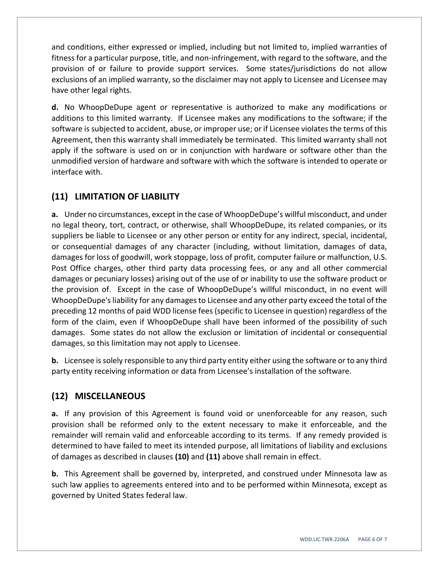and conditions, either expressed or implied, including but not limited to, implied warranties of fitness for a particular purpose, title, and non-infringement, with regard to the software, and the provision of or failure to provide support services. Some states/jurisdictions do not allow exclusions of an implied warranty, so the disclaimer may not apply to Licensee and Licensee may have other legal rights.

**d.** No WhoopDeDupe agent or representative is authorized to make any modifications or additions to this limited warranty. If Licensee makes any modifications to the software; if the software is subjected to accident, abuse, or improper use; or if Licensee violates the terms of this Agreement, then this warranty shall immediately be terminated. This limited warranty shall not apply if the software is used on or in conjunction with hardware or software other than the unmodified version of hardware and software with which the software is intended to operate or interface with.

## **(11) LIMITATION OF LIABILITY**

**a.** Under no circumstances, except in the case of WhoopDeDupe's willful misconduct, and under no legal theory, tort, contract, or otherwise, shall WhoopDeDupe, its related companies, or its suppliers be liable to Licensee or any other person or entity for any indirect, special, incidental, or consequential damages of any character (including, without limitation, damages of data, damages for loss of goodwill, work stoppage, loss of profit, computer failure or malfunction, U.S. Post Office charges, other third party data processing fees, or any and all other commercial damages or pecuniary losses) arising out of the use of or inability to use the software product or the provision of. Except in the case of WhoopDeDupe's willful misconduct, in no event will WhoopDeDupe'sliability for any damagesto Licensee and any other party exceed the total of the preceding 12 months of paid WDD license fees(specific to Licensee in question) regardless of the form of the claim, even if WhoopDeDupe shall have been informed of the possibility of such damages. Some states do not allow the exclusion or limitation of incidental or consequential damages, so this limitation may not apply to Licensee.

**b.** Licensee is solely responsible to any third party entity either using the software or to any third party entity receiving information or data from Licensee's installation of the software.

#### **(12) MISCELLANEOUS**

**a.** If any provision of this Agreement is found void or unenforceable for any reason, such provision shall be reformed only to the extent necessary to make it enforceable, and the remainder will remain valid and enforceable according to its terms. If any remedy provided is determined to have failed to meet its intended purpose, all limitations of liability and exclusions of damages as described in clauses **(10)** and **(11)** above shall remain in effect.

**b.** This Agreement shall be governed by, interpreted, and construed under Minnesota law as such law applies to agreements entered into and to be performed within Minnesota, except as governed by United States federal law.